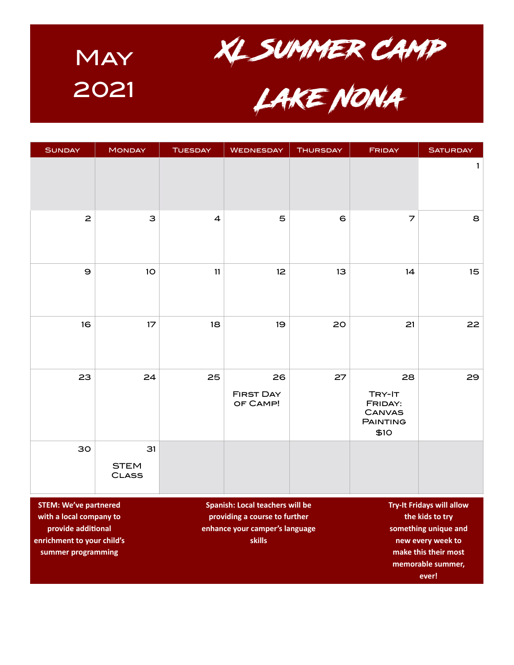

| <b>SUNDAY</b>                                                                 | <b>MONDAY</b>                     | <b>TUESDAY</b>          | <b>WEDNESDAY</b>                                                                                                                                                                  | <b>THURSDAY</b> | <b>FRIDAY</b>                                                       | <b>SATURDAY</b> |
|-------------------------------------------------------------------------------|-----------------------------------|-------------------------|-----------------------------------------------------------------------------------------------------------------------------------------------------------------------------------|-----------------|---------------------------------------------------------------------|-----------------|
|                                                                               |                                   |                         |                                                                                                                                                                                   |                 |                                                                     | $\mathbf{1}$    |
| $\mathbf{z}$                                                                  | 3                                 | $\overline{\mathbf{4}}$ | 5                                                                                                                                                                                 | $\epsilon$      | $\overline{z}$                                                      | 8               |
| $\mathbf 9$                                                                   | 1 <sub>O</sub>                    | 11                      | 12                                                                                                                                                                                | 13              | 14                                                                  | 15              |
| 16                                                                            | 17                                | 18                      | 19                                                                                                                                                                                | 20              | 21                                                                  | 22              |
| 23                                                                            | 24                                | 25                      | 26<br><b>FIRST DAY</b><br>OF CAMP!                                                                                                                                                | 27              | 28<br>TRY-IT<br>FRIDAY:<br><b>CANVAS</b><br><b>PAINTING</b><br>\$10 | 29              |
| 30                                                                            | 31<br><b>STEM</b><br><b>CLASS</b> |                         |                                                                                                                                                                                   |                 |                                                                     |                 |
| <b>STEM: We've partnered</b><br>with a local company to<br>provide additional |                                   |                         | <b>Try-It Fridays will allow</b><br>Spanish: Local teachers will be<br>providing a course to further<br>the kids to try<br>enhance your camper's language<br>something unique and |                 |                                                                     |                 |

**skills**

**enrichment to your child's summer programming**

**new every week to make this their most memorable summer, ever!**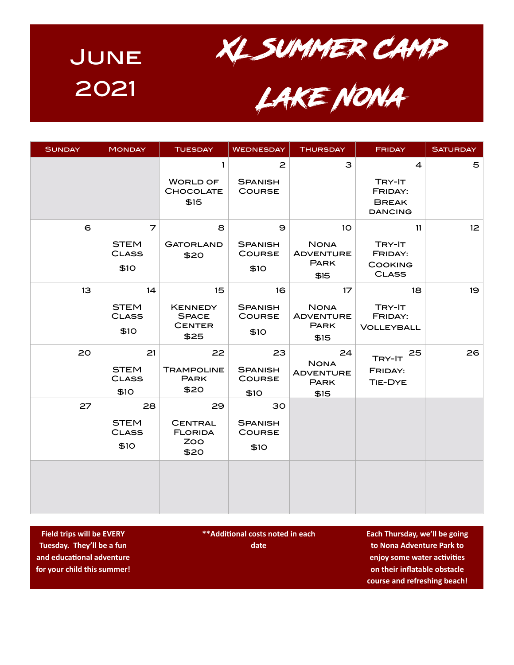



<sup>2021</sup> Lake Nona

| <b>SUNDAY</b> | <b>MONDAY</b>                             | <b>TUESDAY</b>                                                             | <b>WEDNESDAY</b>                                | <b>THURSDAY</b>                                                           | <b>FRIDAY</b>                                             | <b>SATURDAY</b> |
|---------------|-------------------------------------------|----------------------------------------------------------------------------|-------------------------------------------------|---------------------------------------------------------------------------|-----------------------------------------------------------|-----------------|
|               |                                           | $\mathbf{1}$<br><b>WORLD OF</b><br>CHOCOLATE<br>\$15                       | $\mathbf{z}$<br><b>SPANISH</b><br><b>COURSE</b> | З                                                                         | $\overline{4}$<br>TRY-IT<br>FRIDAY:<br><b>BREAK</b>       | 5               |
|               |                                           |                                                                            |                                                 |                                                                           | <b>DANCING</b>                                            |                 |
| 6             | 7<br><b>STEM</b><br><b>CLASS</b><br>\$10  | 8<br><b>GATORLAND</b><br>\$20                                              | 9<br><b>SPANISH</b><br><b>COURSE</b><br>\$10    | 10 <sup>°</sup><br><b>NONA</b><br><b>ADVENTURE</b><br><b>PARK</b><br>\$15 | 11<br>TRY-IT<br>FRIDAY:<br><b>COOKING</b><br><b>CLASS</b> | 12              |
| 13            | 14<br><b>STEM</b><br><b>CLASS</b><br>\$10 | 15 <sub>2</sub><br><b>KENNEDY</b><br><b>SPACE</b><br><b>CENTER</b><br>\$25 | 16<br><b>SPANISH</b><br><b>COURSE</b><br>\$10   | 17<br><b>NONA</b><br><b>ADVENTURE</b><br><b>PARK</b><br>\$15              | 18<br>TRY-IT<br>FRIDAY:<br><b>VOLLEYBALL</b>              | 19              |
| 20            | 21<br><b>STEM</b><br><b>CLASS</b><br>\$10 | 22<br><b>TRAMPOLINE</b><br><b>PARK</b><br>\$20                             | 23<br><b>SPANISH</b><br><b>COURSE</b><br>\$10   | 24<br><b>NONA</b><br><b>ADVENTURE</b><br><b>PARK</b><br>\$15              | 25<br>TRY-IT<br>FRIDAY:<br>TIE-DYE                        | 26              |
| 27            | 28<br><b>STEM</b><br><b>CLASS</b><br>\$10 | 29<br><b>CENTRAL</b><br><b>FLORIDA</b><br>ZOO<br>\$20                      | 30<br><b>SPANISH</b><br><b>COURSE</b><br>\$10   |                                                                           |                                                           |                 |
|               |                                           |                                                                            |                                                 |                                                                           |                                                           |                 |

**Field trips will be EVERY Tuesday. They'll be a fun and educational adventure for your child this summer!**

**\*\*Additional costs noted in each date**

**Each Thursday, we'll be going to Nona Adventure Park to enjoy some water activities on their inflatable obstacle course and refreshing beach!**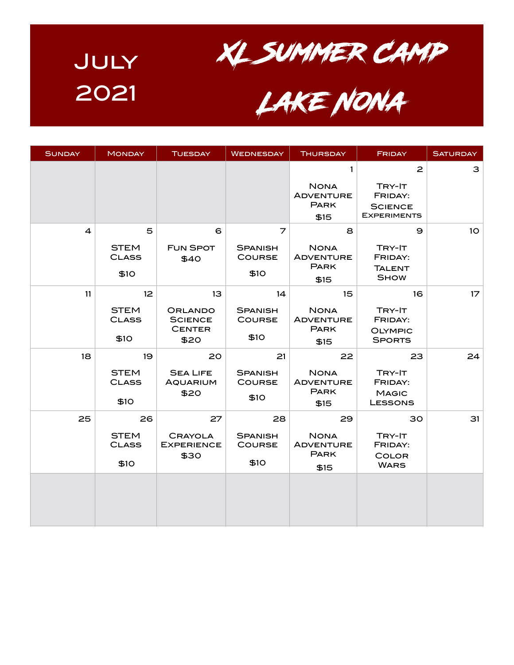

<sup>2021</sup> Lake Nona

| <b>SUNDAY</b>  | <b>MONDAY</b>                                          | <b>TUESDAY</b>                                           | <b>WEDNESDAY</b>                                          | <b>THURSDAY</b>                                              | <b>FRIDAY</b>                                                             | <b>SATURDAY</b> |
|----------------|--------------------------------------------------------|----------------------------------------------------------|-----------------------------------------------------------|--------------------------------------------------------------|---------------------------------------------------------------------------|-----------------|
|                |                                                        |                                                          |                                                           | 1<br><b>NONA</b><br><b>ADVENTURE</b><br><b>PARK</b><br>\$15  | $\mathbf{z}$<br>TRY-IT<br>FRIDAY:<br><b>SCIENCE</b><br><b>EXPERIMENTS</b> | З               |
| $\overline{a}$ | 5<br><b>STEM</b><br><b>CLASS</b><br>\$10               | 6<br><b>FUN SPOT</b><br>\$40                             | $\overline{z}$<br><b>SPANISH</b><br><b>COURSE</b><br>\$10 | 8<br><b>NONA</b><br><b>ADVENTURE</b><br><b>PARK</b><br>\$15  | 9<br>TRY-IT<br>FRIDAY:<br><b>TALENT</b><br><b>SHOW</b>                    | 10 <sub>o</sub> |
| 11             | 12 <sup>°</sup><br><b>STEM</b><br><b>CLASS</b><br>\$10 | 13<br>ORLANDO<br><b>SCIENCE</b><br><b>CENTER</b><br>\$20 | 14<br><b>SPANISH</b><br><b>COURSE</b><br>\$10             | 15<br><b>NONA</b><br><b>ADVENTURE</b><br><b>PARK</b><br>\$15 | 16<br>TRY-IT<br>FRIDAY:<br><b>OLYMPIC</b><br><b>SPORTS</b>                | 17              |
| 18             | 19<br><b>STEM</b><br><b>CLASS</b><br>\$10              | 20<br><b>SEA LIFE</b><br><b>AQUARIUM</b><br>\$20         | 21<br><b>SPANISH</b><br><b>COURSE</b><br>\$10             | 22<br><b>NONA</b><br><b>ADVENTURE</b><br><b>PARK</b><br>\$15 | 23<br>TRY-IT<br>FRIDAY:<br><b>MAGIC</b><br><b>LESSONS</b>                 | 24              |
| 25             | 26<br><b>STEM</b><br><b>CLASS</b><br>\$10              | 27<br><b>CRAYOLA</b><br><b>EXPERIENCE</b><br>\$30        | 28<br><b>SPANISH</b><br><b>COURSE</b><br>\$10             | 29<br><b>NONA</b><br><b>ADVENTURE</b><br><b>PARK</b><br>\$15 | 30<br>TRY-IT<br>FRIDAY:<br><b>COLOR</b><br><b>WARS</b>                    | 31              |
|                |                                                        |                                                          |                                                           |                                                              |                                                                           |                 |